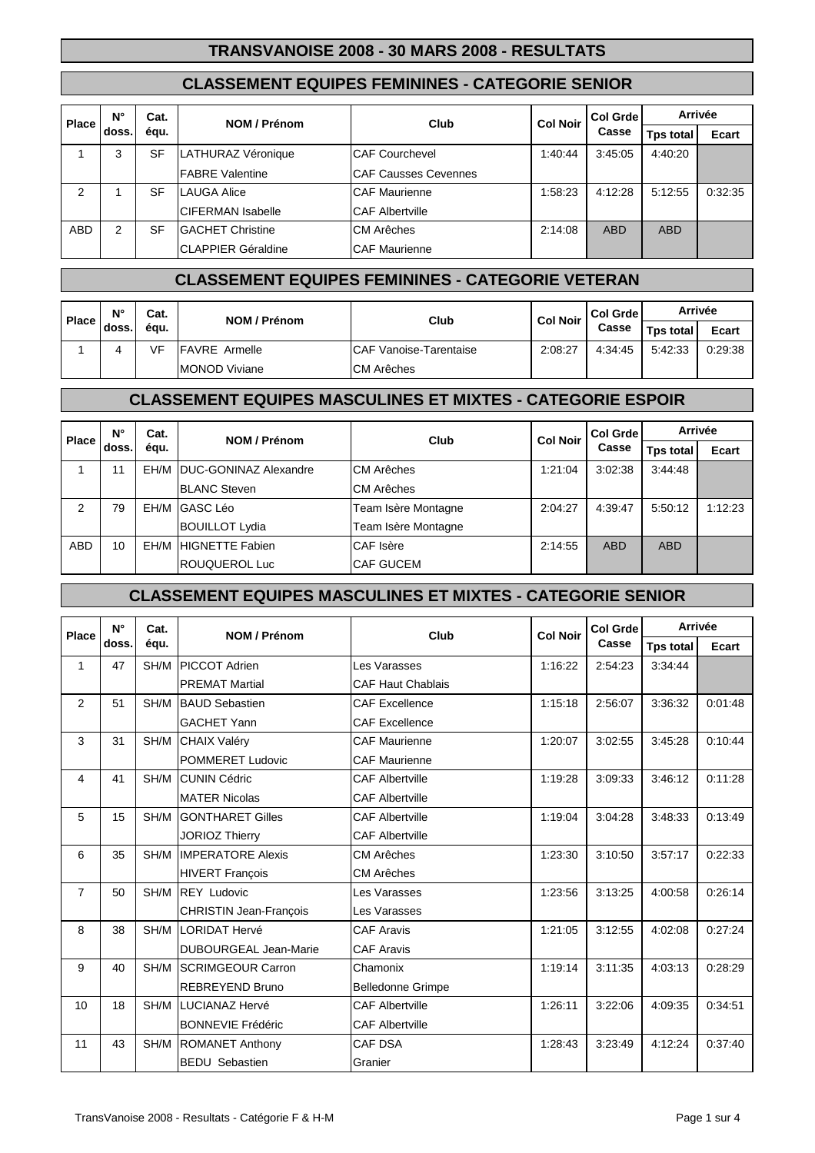#### **CLASSEMENT EQUIPES FEMININES - CATEGORIE SENIOR**

| <b>Place</b>   | Ν°    | Cat. | NOM / Prénom               | Club                        | <b>Col Noir</b> | Col Grde   |                  | Arrivée |  |
|----------------|-------|------|----------------------------|-----------------------------|-----------------|------------|------------------|---------|--|
|                | doss. | égu. |                            |                             |                 | Casse      | <b>Tps total</b> | Ecart   |  |
|                | 3     | SF   | LATHURAZ Véronique         | <b>CAF Courchevel</b>       | 1:40:44         | 3:45:05    | 4:40:20          |         |  |
|                |       |      | <b>FABRE Valentine</b>     | <b>CAF Causses Cevennes</b> |                 |            |                  |         |  |
| $\overline{2}$ |       | SF   | <b>LAUGA Alice</b>         | <b>CAF Maurienne</b>        | 1:58:23         | 4:12:28    | 5:12:55          | 0:32:35 |  |
|                |       |      | <b>CIFERMAN Isabelle</b>   | <b>CAF Albertville</b>      |                 |            |                  |         |  |
| <b>ABD</b>     | 2     | SF   | <b>GACHET Christine</b>    | <b>CM Arêches</b>           | 2:14:08         | <b>ABD</b> | ABD              |         |  |
|                |       |      | <b>ICLAPPIER Géraldine</b> | <b>CAF Maurienne</b>        |                 |            |                  |         |  |

## **CLASSEMENT EQUIPES FEMININES - CATEGORIE VETERAN**

| Place i | N°    | Cat. | NOM / Prénom          | Club                    | <b>Col Noir</b> | l Col Grde l<br>Casse | Arrivée          |              |
|---------|-------|------|-----------------------|-------------------------|-----------------|-----------------------|------------------|--------------|
|         | doss. | égu. |                       |                         |                 |                       | <b>Tps total</b> | <b>Ecart</b> |
|         | 4     | VF   | <b>IFAVRE</b> Armelle | ICAF Vanoise-Tarentaise | 2:08:27         | 4:34:45               | 5:42:33          | 0:29:38      |
|         |       |      | <b>MONOD Viviane</b>  | <b>CM Arêches</b>       |                 |                       |                  |              |

### **CLASSEMENT EQUIPES MASCULINES ET MIXTES - CATEGORIE ESPOIR**

| <b>Place</b>   | N°    | Cat. | NOM / Prénom                  | Club                | <b>Col Noir</b> | Col Grde   |                  | Arrivée |  |
|----------------|-------|------|-------------------------------|---------------------|-----------------|------------|------------------|---------|--|
|                | doss. | égu. |                               |                     |                 | Casse      | <b>Tps total</b> | Ecart   |  |
|                | 11    | FH/M | <b>IDUC-GONINAZ Alexandre</b> | <b>CM Arêches</b>   | 1:21:04         | 3:02:38    | 3:44:48          |         |  |
|                |       |      | <b>BLANC Steven</b>           | <b>CM Arêches</b>   |                 |            |                  |         |  |
| $\overline{2}$ | 79    | EH/M | <b>GASC Léo</b>               | Team Isère Montagne | 2:04:27         | 4:39:47    | 5:50:12          | 1:12:23 |  |
|                |       |      | <b>BOUILLOT Lydia</b>         | Team Isère Montagne |                 |            |                  |         |  |
| <b>ABD</b>     | 10    |      | <b>EH/M HIGNETTE Fabien</b>   | CAF Isère           | 2:14:55         | <b>ABD</b> | <b>ABD</b>       |         |  |
|                |       |      | ROUQUEROL Luc                 | <b>CAF GUCEM</b>    |                 |            |                  |         |  |

#### **CLASSEMENT EQUIPES MASCULINES ET MIXTES - CATEGORIE SENIOR**

| Place          | $N^{\circ}$ | Cat. | <b>NOM / Prénom</b>           | Club                     | <b>Col Noir</b> | Col Grde | Arrivée          |         |
|----------------|-------------|------|-------------------------------|--------------------------|-----------------|----------|------------------|---------|
|                | doss.       | équ. |                               |                          |                 | Casse    | <b>Tps total</b> | Ecart   |
| 1              | 47          | SH/M | <b>PICCOT Adrien</b>          | Les Varasses             | 1:16:22         | 2:54:23  | 3:34:44          |         |
|                |             |      | <b>PREMAT Martial</b>         | <b>CAF Haut Chablais</b> |                 |          |                  |         |
| 2              | 51          | SH/M | <b>BAUD Sebastien</b>         | <b>CAF Excellence</b>    | 1:15:18         | 2:56:07  | 3:36:32          | 0:01:48 |
|                |             |      | <b>GACHET Yann</b>            | <b>CAF Excellence</b>    |                 |          |                  |         |
| 3              | 31          | SH/M | <b>CHAIX Valéry</b>           | <b>CAF Maurienne</b>     | 1:20:07         | 3:02:55  | 3:45:28          | 0:10:44 |
|                |             |      | <b>POMMERET Ludovic</b>       | <b>CAF Maurienne</b>     |                 |          |                  |         |
| 4              | 41          | SH/M | <b>CUNIN Cédric</b>           | <b>CAF Albertville</b>   | 1:19:28         | 3:09:33  | 3:46:12          | 0:11:28 |
|                |             |      | <b>MATER Nicolas</b>          | <b>CAF Albertville</b>   |                 |          |                  |         |
| 5              | 15          | SH/M | <b>GONTHARET Gilles</b>       | <b>CAF Albertville</b>   | 1:19:04         | 3:04:28  | 3:48:33          | 0:13:49 |
|                |             |      | <b>JORIOZ Thierry</b>         | <b>CAF Albertville</b>   |                 |          |                  |         |
| 6              | 35          | SH/M | <b>IMPERATORE Alexis</b>      | CM Arêches               | 1:23:30         | 3:10:50  | 3:57:17          | 0:22:33 |
|                |             |      | <b>HIVERT Francois</b>        | CM Arêches               |                 |          |                  |         |
| $\overline{7}$ | 50          | SH/M | <b>REY Ludovic</b>            | Les Varasses             | 1:23:56         | 3:13:25  | 4:00:58          | 0:26:14 |
|                |             |      | <b>CHRISTIN Jean-Francois</b> | Les Varasses             |                 |          |                  |         |
| 8              | 38          | SH/M | LORIDAT Hervé                 | <b>CAF Aravis</b>        | 1:21:05         | 3:12:55  | 4:02:08          | 0:27:24 |
|                |             |      | <b>DUBOURGEAL Jean-Marie</b>  | <b>CAF Aravis</b>        |                 |          |                  |         |
| 9              | 40          | SH/M | <b>SCRIMGEOUR Carron</b>      | Chamonix                 | 1:19:14         | 3:11:35  | 4:03:13          | 0:28:29 |
|                |             |      | <b>REBREYEND Bruno</b>        | <b>Belledonne Grimpe</b> |                 |          |                  |         |
| 10             | 18          | SH/M | LUCIANAZ Hervé                | <b>CAF Albertville</b>   | 1:26:11         | 3:22:06  | 4:09:35          | 0:34:51 |
|                |             |      | <b>BONNEVIE Frédéric</b>      | <b>CAF Albertville</b>   |                 |          |                  |         |
| 11             | 43          | SH/M | <b>ROMANET Anthony</b>        | <b>CAF DSA</b>           | 1:28:43         | 3:23:49  | 4:12:24          | 0:37:40 |
|                |             |      | <b>BEDU</b> Sebastien         | Granier                  |                 |          |                  |         |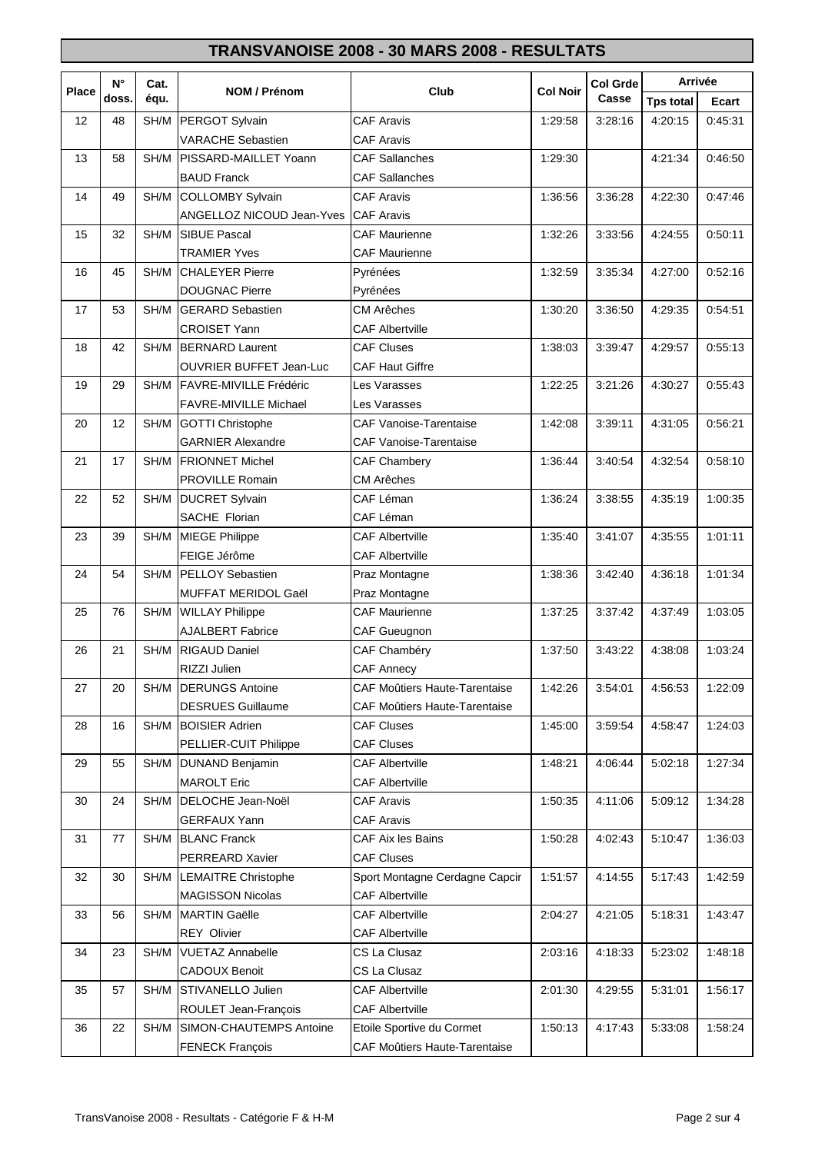|              | $N^{\circ}$ | Cat. |                                |                                | <b>Col Grde</b> |         | Arrivée          |         |  |
|--------------|-------------|------|--------------------------------|--------------------------------|-----------------|---------|------------------|---------|--|
| <b>Place</b> | doss.       | équ. | NOM / Prénom                   | Club                           | <b>Col Noir</b> | Casse   | <b>Tps total</b> | Ecart   |  |
| 12           | 48          | SH/M | PERGOT Sylvain                 | <b>CAF Aravis</b>              | 1:29:58         | 3:28:16 | 4:20:15          | 0:45:31 |  |
|              |             |      | <b>VARACHE Sebastien</b>       | <b>CAF Aravis</b>              |                 |         |                  |         |  |
| 13           | 58          | SH/M | PISSARD-MAILLET Yoann          | <b>CAF Sallanches</b>          | 1:29:30         |         | 4:21:34          | 0:46:50 |  |
|              |             |      | <b>BAUD Franck</b>             | <b>CAF Sallanches</b>          |                 |         |                  |         |  |
| 14           | 49          | SH/M | <b>COLLOMBY Sylvain</b>        | <b>CAF Aravis</b>              | 1:36:56         | 3:36:28 | 4:22:30          | 0:47:46 |  |
|              |             |      | ANGELLOZ NICOUD Jean-Yves      | <b>CAF Aravis</b>              |                 |         |                  |         |  |
| 15           | 32          | SH/M | <b>SIBUE Pascal</b>            | <b>CAF Maurienne</b>           | 1:32:26         | 3:33:56 | 4:24:55          | 0:50:11 |  |
|              |             |      | <b>TRAMIER Yves</b>            | <b>CAF Maurienne</b>           |                 |         |                  |         |  |
| 16           | 45          | SH/M | <b>CHALEYER Pierre</b>         | Pyrénées                       | 1:32:59         | 3:35:34 | 4:27:00          | 0:52:16 |  |
|              |             |      | <b>DOUGNAC Pierre</b>          | Pyrénées                       |                 |         |                  |         |  |
| 17           | 53          | SH/M | <b>GERARD Sebastien</b>        | <b>CM Arêches</b>              | 1:30:20         | 3:36:50 | 4:29:35          | 0:54:51 |  |
|              |             |      | <b>CROISET Yann</b>            | <b>CAF Albertville</b>         |                 |         |                  |         |  |
| 18           | 42          | SH/M | <b>BERNARD Laurent</b>         | <b>CAF Cluses</b>              | 1:38:03         | 3:39:47 | 4:29:57          | 0:55:13 |  |
|              |             |      | <b>OUVRIER BUFFET Jean-Luc</b> | <b>CAF Haut Giffre</b>         |                 |         |                  |         |  |
| 19           | 29          | SH/M | FAVRE-MIVILLE Frédéric         | Les Varasses                   | 1:22:25         | 3:21:26 | 4:30:27          | 0:55:43 |  |
|              |             |      | <b>FAVRE-MIVILLE Michael</b>   | Les Varasses                   |                 |         |                  |         |  |
| 20           | 12          | SH/M | <b>GOTTI Christophe</b>        | <b>CAF Vanoise-Tarentaise</b>  | 1:42:08         | 3:39:11 | 4:31:05          | 0:56:21 |  |
|              |             |      | <b>GARNIER Alexandre</b>       | <b>CAF Vanoise-Tarentaise</b>  |                 |         |                  |         |  |
| 21           | 17          | SH/M | <b>FRIONNET Michel</b>         | CAF Chambery                   | 1:36:44         | 3:40:54 | 4:32:54          | 0:58:10 |  |
|              |             |      | <b>PROVILLE Romain</b>         | CM Arêches                     |                 |         |                  |         |  |
| 22           | 52          | SH/M | <b>DUCRET Sylvain</b>          | CAF Léman                      | 1:36:24         | 3:38:55 | 4:35:19          | 1:00:35 |  |
|              |             |      | SACHE Florian                  | CAF Léman                      |                 |         |                  |         |  |
| 23           | 39          | SH/M | <b>MIEGE Philippe</b>          | <b>CAF Albertville</b>         | 1:35:40         | 3:41:07 | 4:35:55          | 1:01:11 |  |
|              |             |      | FEIGE Jérôme                   | <b>CAF Albertville</b>         |                 |         |                  |         |  |
| 24           | 54          | SH/M | <b>PELLOY Sebastien</b>        | Praz Montagne                  | 1:38:36         | 3:42:40 | 4:36:18          | 1:01:34 |  |
|              |             |      | <b>MUFFAT MERIDOL Gaël</b>     | Praz Montagne                  |                 |         |                  |         |  |
| 25           | 76          | SH/M | <b>WILLAY Philippe</b>         | <b>CAF Maurienne</b>           | 1:37:25         | 3:37:42 | 4:37:49          | 1:03:05 |  |
|              |             |      | <b>AJALBERT Fabrice</b>        | <b>CAF Gueugnon</b>            |                 |         |                  |         |  |
| 26           | 21          | SH/M | <b>RIGAUD Daniel</b>           | CAF Chambéry                   | 1:37:50         | 3:43:22 | 4:38:08          | 1:03:24 |  |
|              |             |      | RIZZI Julien                   | <b>CAF Annecy</b>              |                 |         |                  |         |  |
| 27           | 20          |      | SH/M   DERUNGS Antoine         | CAF Moûtiers Haute-Tarentaise  | 1:42:26         | 3:54:01 | 4:56:53          | 1:22:09 |  |
|              |             |      | <b>DESRUES Guillaume</b>       | CAF Moûtiers Haute-Tarentaise  |                 |         |                  |         |  |
| 28           | 16          | SH/M | <b>BOISIER Adrien</b>          | <b>CAF Cluses</b>              | 1:45:00         | 3:59:54 | 4:58:47          | 1:24:03 |  |
|              |             |      | PELLIER-CUIT Philippe          | <b>CAF Cluses</b>              |                 |         |                  |         |  |
| 29           | 55          | SH/M | <b>DUNAND Benjamin</b>         | <b>CAF Albertville</b>         | 1:48:21         | 4:06:44 | 5:02:18          | 1:27:34 |  |
|              |             |      | <b>MAROLT Eric</b>             | <b>CAF Albertville</b>         |                 |         |                  |         |  |
| 30           | 24          | SH/M | DELOCHE Jean-Noël              | <b>CAF Aravis</b>              | 1:50:35         | 4:11:06 | 5:09:12          | 1:34:28 |  |
|              |             |      | <b>GERFAUX Yann</b>            | <b>CAF Aravis</b>              |                 |         |                  |         |  |
| 31           | 77          | SH/M | <b>BLANC Franck</b>            | CAF Aix les Bains              | 1:50:28         | 4:02:43 | 5:10:47          | 1:36:03 |  |
|              |             |      | PERREARD Xavier                | <b>CAF Cluses</b>              |                 |         |                  |         |  |
| 32           | 30          | SH/M | <b>LEMAITRE Christophe</b>     | Sport Montagne Cerdagne Capcir | 1:51:57         | 4:14:55 | 5:17:43          | 1:42:59 |  |
|              |             |      | <b>MAGISSON Nicolas</b>        | <b>CAF Albertville</b>         |                 |         |                  |         |  |
| 33           | 56          | SH/M | <b>MARTIN Gaëlle</b>           | <b>CAF Albertville</b>         | 2:04:27         | 4:21:05 | 5:18:31          | 1:43:47 |  |
|              |             |      | <b>REY Olivier</b>             | <b>CAF Albertville</b>         |                 |         |                  |         |  |
| 34           | 23          | SH/M | <b>VUETAZ Annabelle</b>        | CS La Clusaz                   | 2:03:16         | 4:18:33 | 5:23:02          | 1:48:18 |  |
|              |             |      | <b>CADOUX Benoit</b>           | CS La Clusaz                   |                 |         |                  |         |  |
| 35           | 57          | SH/M | STIVANELLO Julien              | <b>CAF Albertville</b>         | 2:01:30         | 4:29:55 | 5:31:01          | 1:56:17 |  |
|              |             |      | ROULET Jean-François           | <b>CAF Albertville</b>         |                 |         |                  |         |  |
| 36           | 22          | SH/M | SIMON-CHAUTEMPS Antoine        | Etoile Sportive du Cormet      | 1:50:13         | 4:17:43 | 5:33:08          | 1:58:24 |  |
|              |             |      | <b>FENECK François</b>         | CAF Moûtiers Haute-Tarentaise  |                 |         |                  |         |  |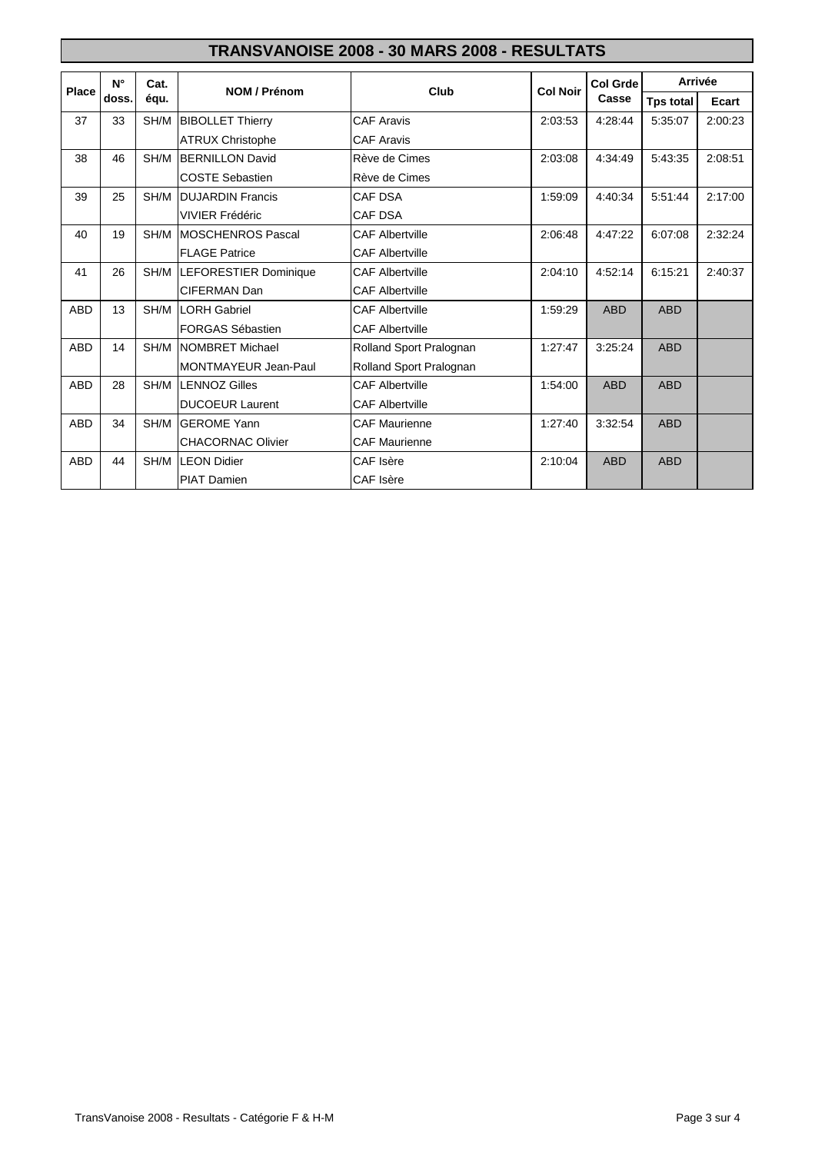|            | $N^{\circ}$ | Cat. | NOM / Prénom                 | Club                    | <b>Col Noir</b> | <b>Col Grde</b> | <b>Arrivée</b>   |         |
|------------|-------------|------|------------------------------|-------------------------|-----------------|-----------------|------------------|---------|
| Place      | doss.       | équ. |                              |                         |                 | Casse           | <b>Tps total</b> | Ecart   |
| 37         | 33          | SH/M | <b>BIBOLLET Thierry</b>      | <b>CAF Aravis</b>       | 2:03:53         | 4:28:44         | 5:35:07          | 2:00:23 |
|            |             |      | <b>ATRUX Christophe</b>      | <b>CAF Aravis</b>       |                 |                 |                  |         |
| 38         | 46          | SH/M | <b>BERNILLON David</b>       | Rève de Cimes           | 2:03:08         | 4:34:49         | 5:43:35          | 2:08:51 |
|            |             |      | <b>COSTE Sebastien</b>       | Rève de Cimes           |                 |                 |                  |         |
| 39         | 25          | SH/M | <b>DUJARDIN Francis</b>      | <b>CAF DSA</b>          | 1:59:09         | 4:40:34         | 5:51:44          | 2:17:00 |
|            |             |      | VIVIER Frédéric              | CAF DSA                 |                 |                 |                  |         |
| 40         | 19          | SH/M | MOSCHENROS Pascal            | <b>CAF Albertville</b>  | 2:06:48         | 4:47:22         | 6:07:08          | 2:32:24 |
|            |             |      | <b>FLAGE Patrice</b>         | <b>CAF Albertville</b>  |                 |                 |                  |         |
| 41         | 26          | SH/M | <b>LEFORESTIER Dominique</b> | <b>CAF Albertville</b>  | 2:04:10         | 4:52:14         | 6:15:21          | 2:40:37 |
|            |             |      | <b>CIFERMAN Dan</b>          | <b>CAF Albertville</b>  |                 |                 |                  |         |
| <b>ABD</b> | 13          | SH/M | <b>LORH Gabriel</b>          | <b>CAF Albertville</b>  | 1:59:29         | <b>ABD</b>      | <b>ABD</b>       |         |
|            |             |      | FORGAS Sébastien             | <b>CAF Albertville</b>  |                 |                 |                  |         |
| <b>ABD</b> | 14          | SH/M | NOMBRET Michael              | Rolland Sport Pralognan | 1:27:47         | 3:25:24         | <b>ABD</b>       |         |
|            |             |      | <b>MONTMAYEUR Jean-Paul</b>  | Rolland Sport Pralognan |                 |                 |                  |         |
| <b>ABD</b> | 28          | SH/M | <b>LENNOZ Gilles</b>         | <b>CAF Albertville</b>  | 1:54:00         | <b>ABD</b>      | <b>ABD</b>       |         |
|            |             |      | <b>DUCOEUR Laurent</b>       | <b>CAF Albertville</b>  |                 |                 |                  |         |
| <b>ABD</b> | 34          | SH/M | <b>GEROME Yann</b>           | <b>CAF Maurienne</b>    | 1:27:40         | 3:32:54         | <b>ABD</b>       |         |
|            |             |      | <b>CHACORNAC Olivier</b>     | <b>CAF Maurienne</b>    |                 |                 |                  |         |
| <b>ABD</b> | 44          | SH/M | <b>LEON Didier</b>           | CAF Isère               | 2:10:04         | <b>ABD</b>      | <b>ABD</b>       |         |
|            |             |      | <b>PIAT Damien</b>           | CAF Isère               |                 |                 |                  |         |